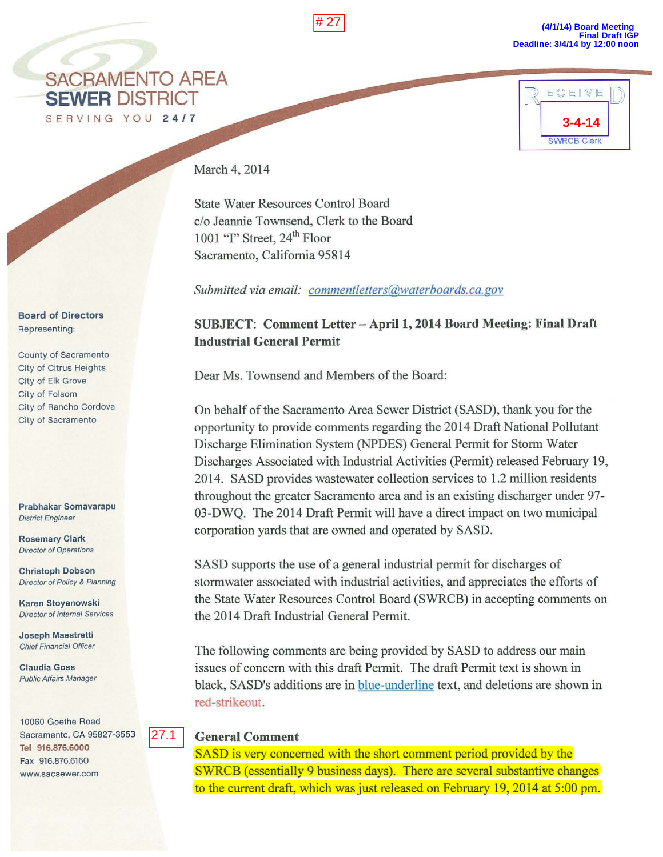# 27

**(4/1/14) Board Meeting Final Draft IGP Deadline: 3/4/14 by 12:00 noon**



**3-4-14 RECEIVE** SWRCB Clerk

March 4, 2014

State Water Resources Control Board c/o Jeannie Townsend, Clerk to the Board 1001 "I" Street,  $24<sup>th</sup>$  Floor Sacramento, California 95814

*Submitted via email: commentletters@waterboards.ca.gov* 

## SUBJECT: Comment Letter - April 1, 2014 Board Meeting: Final Draft Industrial General Permit

Dear Ms. Townsend and Members of the Board:

On behalf of the Sacramento Area Sewer District (SASD), thank you for the opportunity to provide comments regarding the 2014 Draft National Pollutant Discharge Elimination System (NPDES) General Permit for Storm Water Discharges Associated with Industrial Activities (Permit) released February 19, 2014. SASD provides wastewater collection services to 1.2 million residents throughout the greater Sacramento area and is an existing discharger under 97- 03-DWQ. The 2014 Draft Permit will have a direct impact on two municipal corporation yards that are owned and operated by SASD.

SASD supports the use of a general industrial permit for discharges of stormwater associated with industrial activities, and appreciates the efforts of the State Water Resources Control Board (SWRCB) in accepting comments on the 2014 Draft Industrial General Permit.

The following comments are being provided by SASD to address our main issues of concern with this draft Permit. The draft Permit text is shown in black, SASD's additions are in blue-underline text, and deletions are shown in red-strikeout.

## General Comment

SASD is very concerned with the short comment period provided by the SWRCB (essentially 9 business days). There are several substantive changes to the current draft, which was just released on February 19, 2014 at 5:00 pm.

Board of Directors Representing:

County of Sacramento City of Citrus Heights City of Elk Grove City of Folsom City of Rancho Cordova City of Sacramento

Prabhakar Somavarapu District Engineer

Rosemary Clark Director of Operations

Christoph Dobson Director of Policy & Planning

Karen Stoyanowski Director of Internal Services

Joseph Maestretti Chief Financial Officer

Claudia Goss Public Affairs Manager

1 0060 Goethe Road

Tel 916.876.6000 Fax 916.876.6160 www.sacsewer.com

Sacramento, CA 95827-3553 27.1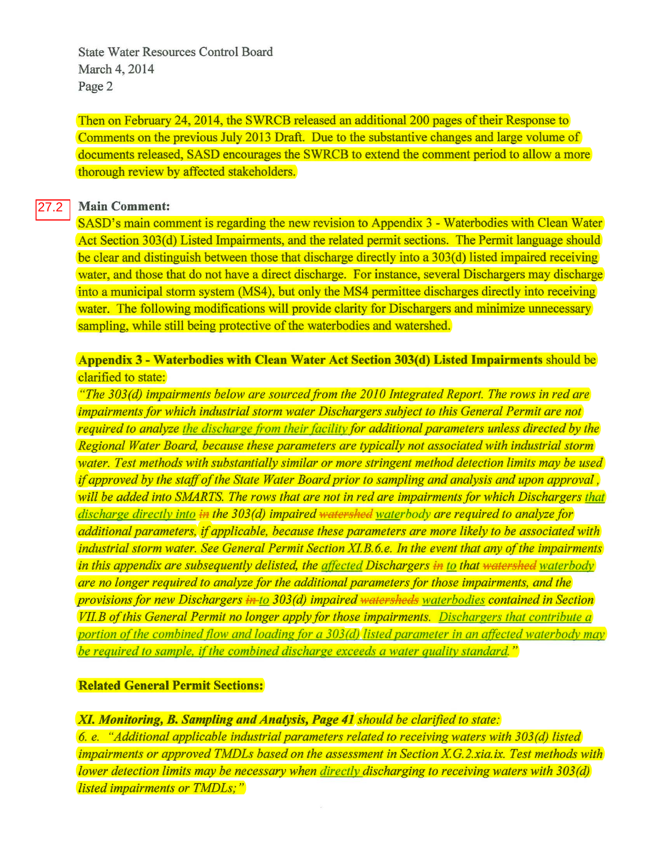State Water Resources Control Board March 4, 2014 Page 2

Then on February 24, 2014, the SWRCB released an additional 200 pages of their Response to Comments on the previous July 2013 Draft. Due to the substantive changes and large volume of documents released, SASD encourages the SWRCB to extend the comment period to allow a more thorough review by affected stakeholders.

## **Main Comment:**  27.2

SASD's main comment is regarding the new revision to Appendix 3- Waterbodies with Clean Water Act Section 303(d) Listed Impairments, and the related permit sections. The Permit language should be clear and distinguish between those that discharge directly into a 303(d) listed impaired receiving water, and those that do not have a direct discharge. For instance, several Dischargers may discharge into a municipal storm system (MS4), but only the MS4 permittee discharges directly into receiving water. The following modifications will provide clarity for Dischargers and minimize unnecessary sampling, while still being protective of the waterbodies and watershed.

**Appendix 3- Waterbodies with Clean Water Act Section 303(d) Listed Impairments** should be clarified to state:

*"The 303(d) impairments below are sourced from the 2010 Integrated Report. The rows in red are impairments for which industrial storm water Dischargers subject to this General Permit are not required to analyze the discharge from their (acility for additional parameters unless directed by the Regional Water Board, because these parameters are typically not associated with industrial storm water. Test methods with substantially similar or more stringent method detection limits may be used*  if *approved by the staff of the State Water Board prior to sampling and analysis and upon approval, will be added into SMARTS. The rows that are not in red are impairments for which Dischargers that discharge directly into* in *the 3 03 (d) impaired watershed water body are required to analyze for additional parameters,* if *applicable, because these parameters are more likely to be associated with industrial storm water. See General Permit Section XI. B. 6. e. In the event that any of the impairments in this appendix are subsequently delisted, the affected Dischargers in to that watershed waterbody are no longer required to analyze for the additional parameters for those impairments, and the provisions for new Dischargers in-to 3 03 (d) impaired watersheds water bodies contained in Section VIIB of this General Permit no longer apply for those impairments. Dischargers that contribute a portion of the combined flow and loading for a 303(d) listed parameter in an affected waterbody may be required to sample, if the combined discharge exceeds a water quality standard.*"

## **Related General Permit Sections:**

**XI.** *Monitoring, B. Sampling and Analysis, Page 41 should be clarified to state: 6. e. "Additional applicable industrial parameters related to receiving waters with 303(d) listed impairments or approved TMDLs based on the assessment in Section X.G.2.xia.ix. Test methods with lower detection limits may be necessary when directly discharging to receiving waters with 303(d) listed impairments or TMDLs;* "